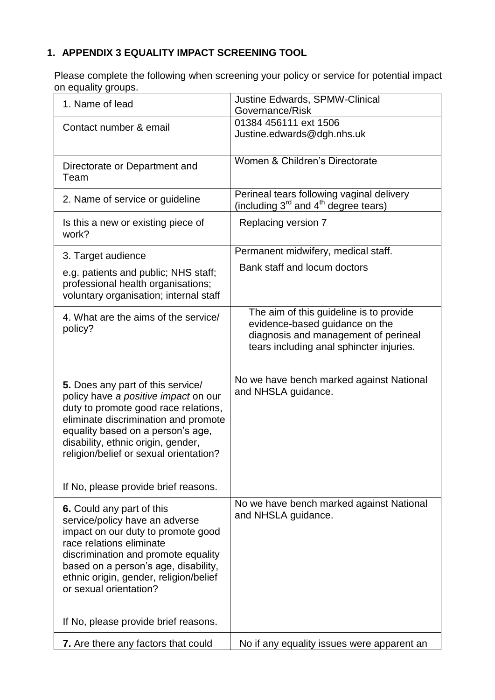## **1. APPENDIX 3 EQUALITY IMPACT SCREENING TOOL**

Please complete the following when screening your policy or service for potential impact on equality groups.

| 1. Name of lead                                                                                                                                                                                                                                                                  | Justine Edwards, SPMW-Clinical<br>Governance/Risk                                                                                                             |
|----------------------------------------------------------------------------------------------------------------------------------------------------------------------------------------------------------------------------------------------------------------------------------|---------------------------------------------------------------------------------------------------------------------------------------------------------------|
| Contact number & email                                                                                                                                                                                                                                                           | 01384 456111 ext 1506<br>Justine.edwards@dgh.nhs.uk                                                                                                           |
| Directorate or Department and<br>Team                                                                                                                                                                                                                                            | Women & Children's Directorate                                                                                                                                |
| 2. Name of service or guideline                                                                                                                                                                                                                                                  | Perineal tears following vaginal delivery<br>(including $3^{rd}$ and $4^{th}$ degree tears)                                                                   |
| Is this a new or existing piece of<br>work?                                                                                                                                                                                                                                      | Replacing version 7                                                                                                                                           |
| 3. Target audience                                                                                                                                                                                                                                                               | Permanent midwifery, medical staff.                                                                                                                           |
| e.g. patients and public; NHS staff;<br>professional health organisations;<br>voluntary organisation; internal staff                                                                                                                                                             | Bank staff and locum doctors                                                                                                                                  |
| 4. What are the aims of the service/<br>policy?                                                                                                                                                                                                                                  | The aim of this guideline is to provide<br>evidence-based guidance on the<br>diagnosis and management of perineal<br>tears including anal sphincter injuries. |
| 5. Does any part of this service/<br>policy have a positive impact on our<br>duty to promote good race relations,<br>eliminate discrimination and promote<br>equality based on a person's age,<br>disability, ethnic origin, gender,<br>religion/belief or sexual orientation?   | No we have bench marked against National<br>and NHSLA guidance.                                                                                               |
| If No, please provide brief reasons.                                                                                                                                                                                                                                             |                                                                                                                                                               |
| 6. Could any part of this<br>service/policy have an adverse<br>impact on our duty to promote good<br>race relations eliminate<br>discrimination and promote equality<br>based on a person's age, disability,<br>ethnic origin, gender, religion/belief<br>or sexual orientation? | No we have bench marked against National<br>and NHSLA guidance.                                                                                               |
| If No, please provide brief reasons.                                                                                                                                                                                                                                             |                                                                                                                                                               |
| 7. Are there any factors that could                                                                                                                                                                                                                                              | No if any equality issues were apparent an                                                                                                                    |